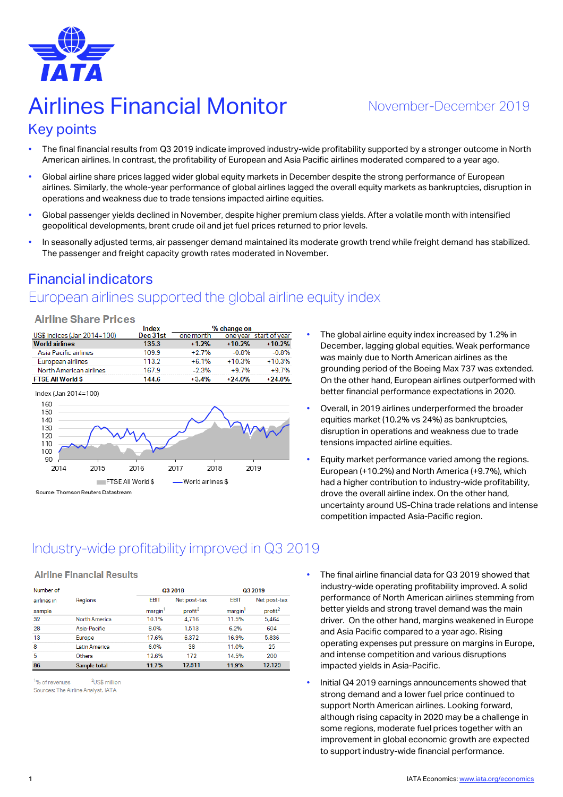

# Airlines Financial Monitor Movember-December 2019

#### Key points

- The final financial results from Q3 2019 indicate improved industry-wide profitability supported by a stronger outcome in North American airlines. In contrast, the profitability of European and Asia Pacific airlines moderated compared to a year ago.
- Global airline share prices lagged wider global equity markets in December despite the strong performance of European airlines. Similarly, the whole-year performance of global airlines lagged the overall equity markets as bankruptcies, disruption in operations and weakness due to trade tensions impacted airline equities.
- Global passenger yields declined in November, despite higher premium class yields. After a volatile month with intensified geopolitical developments, brent crude oil and jet fuel prices returned to prior levels.
- In seasonally adjusted terms, air passenger demand maintained its moderate growth trend while freight demand has stabilized. The passenger and freight capacity growth rates moderated in November.

# Financial indicators

# European airlines supported the global airline equity index

#### **Airline Share Prices**

|                             | Index    | % change on |          |                        |  |
|-----------------------------|----------|-------------|----------|------------------------|--|
| US\$ indices (Jan 2014=100) | Dec 31st | one month   |          | one year start of year |  |
| <b>World airlines</b>       | 135.3    | $+1.2%$     | $+10.2%$ | $+10.2%$               |  |
| Asia Pacific airlines       | 109.9    | $+2.7%$     | $-0.8%$  | $-0.8%$                |  |
| European airlines           | 113.2    | $+6.1%$     | $+10.3%$ | $+10.3%$               |  |
| North American airlines     | 167.9    | $-2.3%$     | $+9.7%$  | $+9.7%$                |  |
| <b>FTSE All World \$</b>    | 144.6    | $+3.4%$     | $+24.0%$ | $+24.0%$               |  |
|                             |          |             |          |                        |  |



- The global airline equity index increased by 1.2% in December, lagging global equities. Weak performance was mainly due to North American airlines as the grounding period of the Boeing Max 737 was extended. On the other hand, European airlines outperformed with better financial performance expectations in 2020.
- Overall, in 2019 airlines underperformed the broader equities market (10.2% vs 24%) as bankruptcies, disruption in operations and weakness due to trade tensions impacted airline equities.
- Equity market performance varied among the regions. European (+10.2%) and North America (+9.7%), which had a higher contribution to industry-wide profitability, drove the overall airline index. On the other hand, uncertainty around US-China trade relations and intense competition impacted Asia-Pacific region.

# Industry-wide profitability improved in Q3 2019

#### **Airline Financial Results**

| Number of   |                     |                     | Q3 2018             | Q3 2019             |                     |  |
|-------------|---------------------|---------------------|---------------------|---------------------|---------------------|--|
| airlines in | Regions             | <b>EBIT</b>         | Net post-tax        | <b>EBIT</b>         | Net post-tax        |  |
| sample      |                     | margin <sup>1</sup> | profit <sup>2</sup> | margin <sup>'</sup> | profit <sup>2</sup> |  |
| 32          | North America       | 10.1%               | 4.716               | 11.5%               | 5,464               |  |
| 28          | Asia-Pacific        | 8.0%                | 1.513               | 6.2%                | 604                 |  |
| 13          | Europe              | 17.6%               | 6.372               | 16.9%               | 5.836               |  |
| 8           | Latin America       | 6.0%                | 38                  | 11.0%               | 25                  |  |
| 5           | Others              | 12.6%               | 172                 | 14.5%               | 200                 |  |
| 86          | <b>Sample total</b> | 11.7%               | 12,811              | 11.9%               | 12,129              |  |

<sup>1</sup>% of revenues  $21$  ISS million Sources: The Airline Analyst, IATA

- The final airline financial data for Q3 2019 showed that industry-wide operating profitability improved. A solid performance of North American airlines stemming from better yields and strong travel demand was the main driver. On the other hand, margins weakened in Europe and Asia Pacific compared to a year ago. Rising operating expenses put pressure on margins in Europe, and intense competition and various disruptions impacted yields in Asia-Pacific.
- Initial Q4 2019 earnings announcements showed that strong demand and a lower fuel price continued to support North American airlines. Looking forward, although rising capacity in 2020 may be a challenge in some regions, moderate fuel prices together with an improvement in global economic growth are expected to support industry-wide financial performance.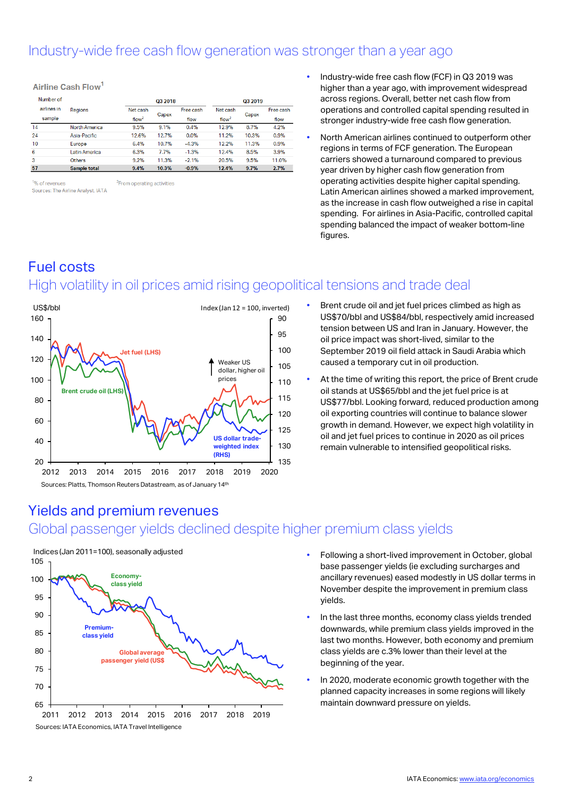#### Industry-wide free cash flow generation was stronger than a year ago

| -------     |                     |                   |       |           |                   |       |           |
|-------------|---------------------|-------------------|-------|-----------|-------------------|-------|-----------|
| Number of   |                     | Q3 2018           |       |           | Q3 2019           |       |           |
| airlines in | Regions             | Net cash          |       | Free cash | Net cash          |       | Free cash |
| sample      |                     | flow <sup>2</sup> | Capex | flow      | flow <sup>2</sup> | Capex | flow      |
| 14          | North America       | 9.5%              | 9.1%  | 0.4%      | 12.9%             | 8.7%  | 4.2%      |
| 24          | Asia-Pacific        | 12.6%             | 12.7% | 0.0%      | 11.2%             | 10.3% | 0.9%      |
| 10          | Europe              | 6.4%              | 10.7% | $-4.3%$   | 12.2%             | 11.3% | 0.9%      |
| 6           | Latin America       | 6.3%              | 7.7%  | $-1.3%$   | 12.4%             | 8.5%  | 3.9%      |
| 3           | <b>Others</b>       | 9.2%              | 11.3% | $-2.1%$   | 20.5%             | 9.5%  | 11.0%     |
| 57          | <b>Sample total</b> | 9.4%              | 10.3% | $-0.9%$   | 12.4%             | 9.7%  | 2.7%      |

1% of revenues <sup>2</sup>From operating activities Sources: The Airline Analyst, IATA

Airline Cash Elow

- Industry-wide free cash flow (FCF) in Q3 2019 was higher than a year ago, with improvement widespread across regions. Overall, better net cash flow from operations and controlled capital spending resulted in stronger industry-wide free cash flow generation.
- North American airlines continued to outperform other regions in terms of FCF generation. The European carriers showed a turnaround compared to previous year driven by higher cash flow generation from operating activities despite higher capital spending. Latin American airlines showed a marked improvement, as the increase in cash flow outweighed a rise in capital spending. For airlines in Asia-Pacific, controlled capital spending balanced the impact of weaker bottom-line figures.

#### Fuel costs High volatility in oil prices amid rising geopolitical tensions and trade deal



- Brent crude oil and jet fuel prices climbed as high as US\$70/bbl and US\$84/bbl, respectively amid increased tension between US and Iran in January. However, the oil price impact was short-lived, similar to the September 2019 oil field attack in Saudi Arabia which caused a temporary cut in oil production.
- At the time of writing this report, the price of Brent crude oil stands at US\$65/bbl and the jet fuel price is at US\$77/bbl. Looking forward, reduced production among oil exporting countries will continue to balance slower growth in demand. However, we expect high volatility in oil and jet fuel prices to continue in 2020 as oil prices remain vulnerable to intensified geopolitical risks.

#### Yields and premium revenues



- Global passenger yields declined despite higher premium class yields
	- Following a short-lived improvement in October, global base passenger yields (ie excluding surcharges and ancillary revenues) eased modestly in US dollar terms in November despite the improvement in premium class yields.
	- In the last three months, economy class yields trended downwards, while premium class yields improved in the last two months. However, both economy and premium class yields are c.3% lower than their level at the beginning of the year.
	- In 2020, moderate economic growth together with the planned capacity increases in some regions will likely maintain downward pressure on yields.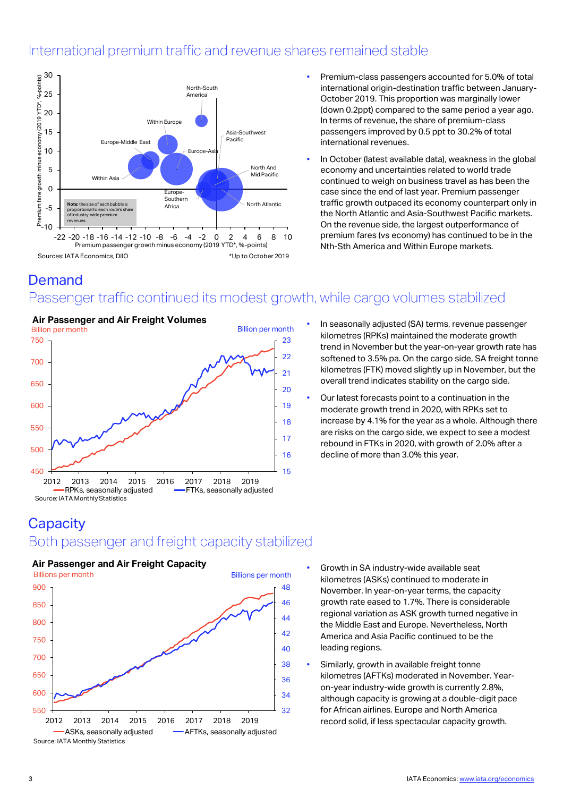#### International premium traffic and revenue shares remained stable



- Premium-class passengers accounted for 5.0% of total international origin-destination traffic between January-October 2019. This proportion was marginally lower (down 0.2ppt) compared to the same period a year ago. In terms of revenue, the share of premium-class passengers improved by 0.5 ppt to 30.2% of total international revenues.
- In October (latest available data), weakness in the global economy and uncertainties related to world trade continued to weigh on business travel as has been the case since the end of last year. Premium passenger traffic growth outpaced its economy counterpart only in the North Atlantic and Asia-Southwest Pacific markets. On the revenue side, the largest outperformance of premium fares (vs economy) has continued to be in the Nth-Sth America and Within Europe markets.

#### Demand

## Passenger traffic continued its modest growth, while cargo volumes stabilized



- In seasonally adjusted (SA) terms, revenue passenger kilometres (RPKs) maintained the moderate growth trend in November but the year-on-year growth rate has softened to 3.5% pa. On the cargo side, SA freight tonne kilometres (FTK) moved slightly up in November, but the overall trend indicates stability on the cargo side.
- Our latest forecasts point to a continuation in the moderate growth trend in 2020, with RPKs set to increase by 4.1% for the year as a whole. Although there are risks on the cargo side, we expect to see a modest rebound in FTKs in 2020, with growth of 2.0% after a decline of more than 3.0% this year.

#### **Capacity** Both passenger and freight capacity stabilized

# **Air Passenger and Air Freight Capacity**



- Growth in SA industry-wide available seat kilometres (ASKs) continued to moderate in November. In year-on-year terms, the capacity growth rate eased to 1.7%. There is considerable regional variation as ASK growth turned negative in the Middle East and Europe. Nevertheless, North America and Asia Pacific continued to be the leading regions.
- Similarly, growth in available freight tonne kilometres (AFTKs) moderated in November. Yearon-year industry-wide growth is currently 2.8%, although capacity is growing at a double-digit pace for African airlines. Europe and North America record solid, if less spectacular capacity growth.